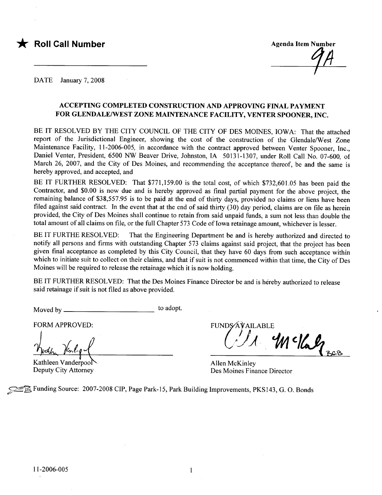

DATE January 7, 2008

#### ACCEPTING COMPLETED CONSTRUCTION AND APPROVING FINAL PAYMENT FOR GLENDALE/WEST ZONE MAINTENANCE FACILITY, VENTER SPOONER, INC.

BE IT RESOLVED BY THE CITY COUNCIL OF THE CITY OF DES MOINES, IOWA: That the attached report of the Jurisdictional Engineer, showing the cost of the construction of the Glendale/West Zone Maintenance Facility, 11-2006-005, in accordance with the contract approved between Venter Spooner, Inc., Daniel Venter, President, 6500 NW Beaver Drive, Johnston, IA 50131-1307, under Roll Call No. 07-600, of March 26, 2007, and the City of Des Moines, and recommending the acceptance thereof, be and the same is hereby approved, and accepted, and

BE IT FURTHER RESOLVED: That \$771,159.00 is the total cost, of which \$732,601.05 has been paid the Contractor, and \$0.00 is now due and is hereby approved as final partial payment for the above project, the remaining balance of \$38,557.95 is to be paid at the end of thirty days, provided no claims or liens have been filed against said contract. In the event that at the end of said thirty  $(30)$  day period, claims are on file as herein provided, the City of Des Moines shall continue to retain from said unpaid funds, a sum not less than double the total amount of all claims on file, or the full Chapter 573 Code of Iowa retainage amount, whichever is lesser.

BE IT FURTHE RESOLVED: That the Engineering Department be and is hereby authorized and directed to notify all persons and firms with outstanding Chapter 573 claims against said project, that the project has been given final acceptance as completed by this City Council, that they have 60 days from such acceptance within which to initiate suit to collect on their claims, and that if suit is not commenced within that time, the City of Des Moines will be required to release the retainage which it is now holding.

BE IT FURTHER RESOLVED: That the Des Moines Finance Director be and is hereby authorized to release said retainage if suit is not fied as above provided.

Moved by to adopt.

FORM APPROVED:

Kathleen Vanderpool Deputy City Attorney

FUNDS AVAILABLE Wellag<sub>ses</sub>

Allen McKinley Des Moines Finance Director

**SER Funding Source: 2007-2008 CIP, Page Park-15, Park Building Improvements, PKS143, G. O. Bonds**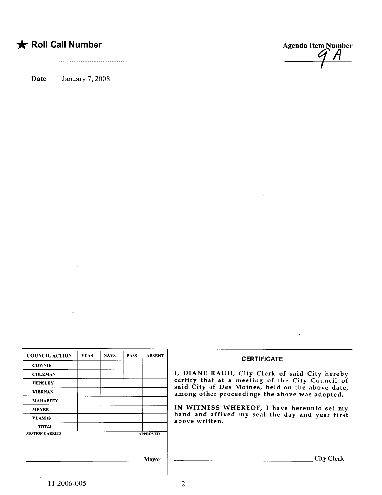## $\bigstar$  Roll Call Number

Date \_\_\_\_\_\_January 7, 2008



| <b>COUNCIL ACTION</b> | <b>YEAS</b> | <b>NAVS</b> | <b>PASS</b>     | <b>ABSENT</b> | <b>CERTIFICATE</b>                                                                                                                                     |  |  |  |
|-----------------------|-------------|-------------|-----------------|---------------|--------------------------------------------------------------------------------------------------------------------------------------------------------|--|--|--|
| <b>COWNIE</b>         |             |             |                 |               |                                                                                                                                                        |  |  |  |
| <b>COLEMAN</b>        |             |             |                 |               | I, DIANE RAUH, City Clerk of said City hereby                                                                                                          |  |  |  |
| <b>HENSLEY</b>        |             |             |                 |               | certify that at a meeting of the City Council of<br>said City of Des Moines, held on the above date,<br>among other proceedings the above was adopted. |  |  |  |
| <b>KIERNAN</b>        |             |             |                 |               |                                                                                                                                                        |  |  |  |
| <b>MAHAFFEY</b>       |             |             |                 |               |                                                                                                                                                        |  |  |  |
| <b>MEYER</b>          |             |             |                 |               | IN WITNESS WHEREOF, I have hereunto set my<br>hand and affixed my seal the day and year first<br>above written.                                        |  |  |  |
| <b>VLASSIS</b>        |             |             |                 |               |                                                                                                                                                        |  |  |  |
| <b>TOTAL</b>          |             |             |                 |               |                                                                                                                                                        |  |  |  |
| <b>MOTION CARRIED</b> |             |             | <b>APPROVED</b> |               |                                                                                                                                                        |  |  |  |
|                       |             |             |                 |               |                                                                                                                                                        |  |  |  |
|                       |             |             |                 |               |                                                                                                                                                        |  |  |  |
|                       |             |             |                 | <b>Mayor</b>  | City Clerk                                                                                                                                             |  |  |  |

 $\sim$   $\mu$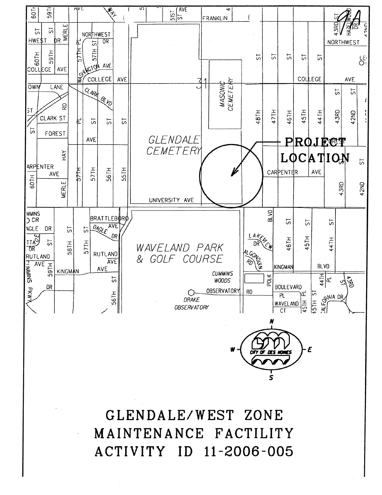

GLENDALE/WEST ZONE MAINTENANCE FACTILITY ACTIVITY ID 11-2006-005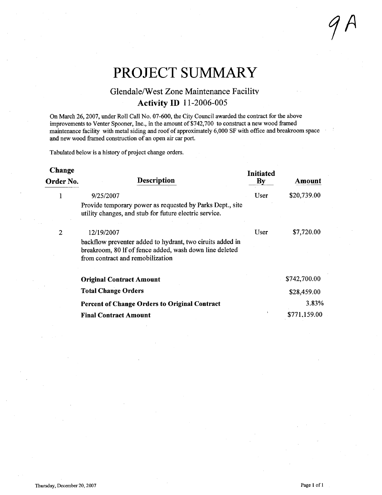# PROJECT SUMMARY

### Glendale/West Zone Maintenance Facility Activity ID 11-2006-005

On March 26,2007, under Roll Call No. 07-600, the City Council awarded the contract for the above improvements to Venter Spooner, Inc., in the amount of \$742,700 to construct a new wood framed maintenance facility with metal siding and roof of approximately 6,000 SF with office and breakroom space and new wood framed construction of an open air car port.

Tabulated below is a history of project change orders.

| Change    |                                                                                                                                                          | Initiated<br>By<br>User | Amount<br>\$20,739.00 |
|-----------|----------------------------------------------------------------------------------------------------------------------------------------------------------|-------------------------|-----------------------|
| Order No. | <b>Description</b>                                                                                                                                       |                         |                       |
| 1         | 9/25/2007                                                                                                                                                |                         |                       |
|           | Provide temporary power as requested by Parks Dept., site<br>utility changes, and stub for future electric service.                                      |                         |                       |
| 2         | 12/19/2007                                                                                                                                               | User                    | \$7,720.00            |
|           | backflow preventer added to hydrant, two ciruits added in<br>breakroom, 80 If of fence added, wash down line deleted<br>from contract and remobilization |                         |                       |
|           | <b>Original Contract Amount</b>                                                                                                                          |                         | \$742,700.00          |
|           | <b>Total Change Orders</b>                                                                                                                               |                         | \$28,459.00           |
|           | <b>Percent of Change Orders to Original Contract</b>                                                                                                     |                         | 3.83%                 |
|           | <b>Final Contract Amount</b>                                                                                                                             |                         | \$771,159.00          |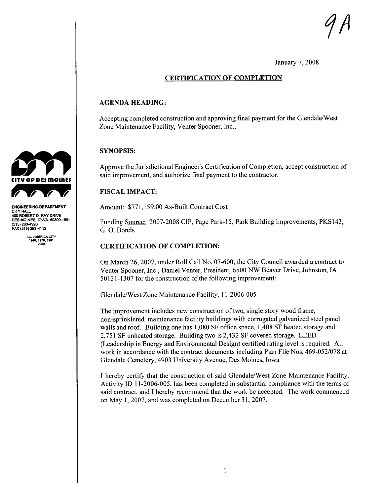$\eta$ n

January 7, 2008

#### CERTIFICATION OF COMPLETION

#### AGENDA HEADING:

Accepting completed construction and approving final payment for the Glendale/West Zone Maintenance Facility, Venter Spooner, Inc..

#### SYNOPSIS:

Approve the Jurisdictional Engineer's Certification of Completion, accept construction of said improvement, and authorize final payment to the contractor.

#### **FISCAL IMPACT:**

Amount: \$771,159.00 As-Built Contract Cost

Funding Source: 2007-2008 CIP, Page Park-15, Park Building Improvements, PKSI43, G. O. Bonds

#### CERTIFICATION OF COMPLETION:

On March 26, 2007, under Roll Call No. 07-600, the City Council awarded a contract to Venter Spooner, Inc., Daniel Venter, President, 6500 NW Beaver Drive, Johnston, IA 50131-1307 for the construction of the following improvement:

Glendale/West Zone Maintenance Facility, 11-2006-005

The improvement includes new construction of two, single story wood frame, non-sprinklered, maintenance facility buildings with corrgated galvanized steel panel walls and roof. Building one has 1,080 SF office space, 1,408 SF heated storage and 2,751 SF unheated storage. Building two is 2,432 SF covered storage. LEED (Leadership in Energy and Environmental Design) certified rating level is required. All work in accordance with the contract documents including Plan File Nos. 469-052/078 at Glendale Cemetery, 4903 University Avenue, Des Moines, Iowa

I hereby certify that the construction of said Glendale/West Zone Maintenance Facilty, Activity ID 11-2006-005, has been completed in substantial compliance with the terms of said contract, and I hereby recommend that the work be accepted. The work commenced on May 1,2007, and was completed on December 31,2007.



ENGEERING DEPARTMENT CITY HALI 400 ROBERT D. RAY DRIVE DES MOINES, IOWA 50309-1891 (515) 2834920 FAX (515) 283-4112

Al-AMERICA CITY 1949.1976.1961 203